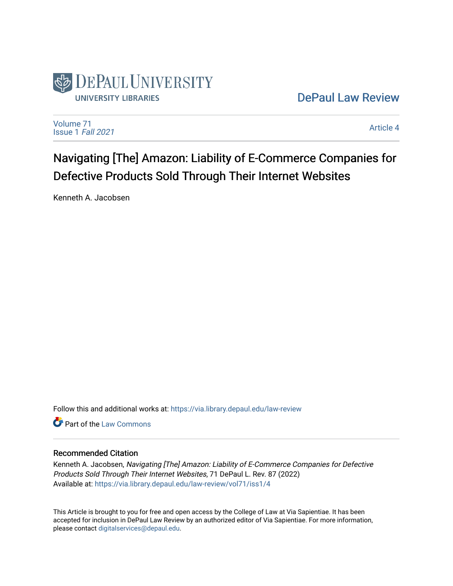

[DePaul Law Review](https://via.library.depaul.edu/law-review) 

[Volume 71](https://via.library.depaul.edu/law-review/vol71) [Issue 1](https://via.library.depaul.edu/law-review/vol71/iss1) Fall 2021

[Article 4](https://via.library.depaul.edu/law-review/vol71/iss1/4) 

Navigating [The] Amazon: Liability of E-Commerce Companies for Defective Products Sold Through Their Internet Websites

Kenneth A. Jacobsen

Follow this and additional works at: [https://via.library.depaul.edu/law-review](https://via.library.depaul.edu/law-review?utm_source=via.library.depaul.edu%2Flaw-review%2Fvol71%2Fiss1%2F4&utm_medium=PDF&utm_campaign=PDFCoverPages) 

**C** Part of the [Law Commons](http://network.bepress.com/hgg/discipline/578?utm_source=via.library.depaul.edu%2Flaw-review%2Fvol71%2Fiss1%2F4&utm_medium=PDF&utm_campaign=PDFCoverPages)

# Recommended Citation

Kenneth A. Jacobsen, Navigating [The] Amazon: Liability of E-Commerce Companies for Defective Products Sold Through Their Internet Websites, 71 DePaul L. Rev. 87 (2022) Available at: [https://via.library.depaul.edu/law-review/vol71/iss1/4](https://via.library.depaul.edu/law-review/vol71/iss1/4?utm_source=via.library.depaul.edu%2Flaw-review%2Fvol71%2Fiss1%2F4&utm_medium=PDF&utm_campaign=PDFCoverPages) 

This Article is brought to you for free and open access by the College of Law at Via Sapientiae. It has been accepted for inclusion in DePaul Law Review by an authorized editor of Via Sapientiae. For more information, please contact [digitalservices@depaul.edu.](mailto:digitalservices@depaul.edu)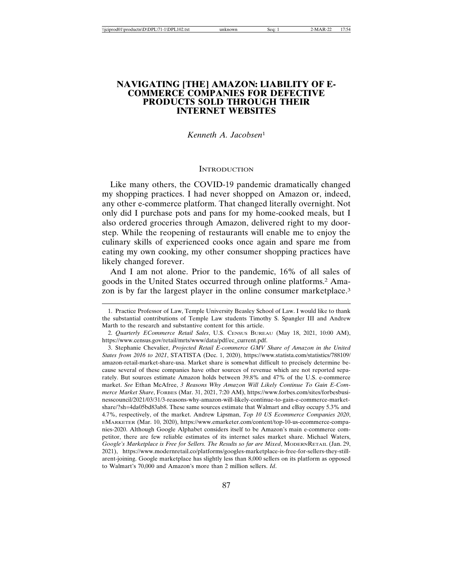# **NAVIGATING [THE] AMAZON: LIABILITY OF E-COMMERCE COMPANIES FOR DEFECTIVE PRODUCTS SOLD THROUGH THEIR INTERNET WEBSITES**

## *Kenneth A. Jacobsen*<sup>1</sup>

### **INTRODUCTION**

Like many others, the COVID-19 pandemic dramatically changed my shopping practices. I had never shopped on Amazon or, indeed, any other e-commerce platform. That changed literally overnight. Not only did I purchase pots and pans for my home-cooked meals, but I also ordered groceries through Amazon, delivered right to my doorstep. While the reopening of restaurants will enable me to enjoy the culinary skills of experienced cooks once again and spare me from eating my own cooking, my other consumer shopping practices have likely changed forever.

And I am not alone. Prior to the pandemic, 16% of all sales of goods in the United States occurred through online platforms.2 Amazon is by far the largest player in the online consumer marketplace.<sup>3</sup>

<sup>1.</sup> Practice Professor of Law, Temple University Beasley School of Law. I would like to thank the substantial contributions of Temple Law students Timothy S. Spangler III and Andrew Marth to the research and substantive content for this article.

<sup>2.</sup> *Quarterly ECommerce Retail Sales*, U.S. CENSUS BUREAU (May 18, 2021, 10:00 AM), https://www.census.gov/retail/mrts/www/data/pdf/ec\_current.pdf.

<sup>3.</sup> Stephanie Chevalier, *Projected Retail E-commerce GMV Share of Amazon in the United States from 2016 to 2021*, STATISTA (Dec. 1, 2020), https://www.statista.com/statistics/788109/ amazon-retail-market-share-usa. Market share is somewhat difficult to precisely determine because several of these companies have other sources of revenue which are not reported separately. But sources estimate Amazon holds between 39.8% and 47% of the U.S. e-commerce market. *See* Ethan McAfree, *3 Reasons Why Amazon Will Likely Continue To Gain E-Commerce Market Share*, FORBES (Mar. 31, 2021, 7:20 AM), https://www.forbes.com/sites/forbesbusinesscouncil/2021/03/31/3-reasons-why-amazon-will-likely-continue-to-gain-e-commerce-marketshare/?sh=4da05bd83ab8. These same sources estimate that Walmart and eBay occupy 5.3% and 4.7%, respectively, of the market. Andrew Lipsman, *Top 10 US Ecommerce Companies 2020*, EMARKETER (Mar. 10, 2020), https://www.emarketer.com/content/top-10-us-ecommerce-companies-2020. Although Google Alphabet considers itself to be Amazon's main e-commerce competitor, there are few reliable estimates of its internet sales market share. Michael Waters, *Google's Marketplace is Free for Sellers. The Results so far are Mixed*, MODERNRETAIL (Jan. 29, 2021), https://www.modernretail.co/platforms/googles-marketplace-is-free-for-sellers-they-stillarent-joining. Google marketplace has slightly less than 8,000 sellers on its platform as opposed to Walmart's 70,000 and Amazon's more than 2 million sellers. *Id*.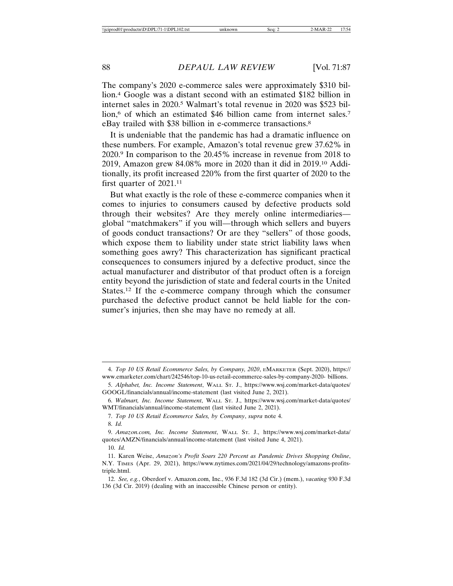The company's 2020 e-commerce sales were approximately \$310 billion.4 Google was a distant second with an estimated \$182 billion in internet sales in 2020.5 Walmart's total revenue in 2020 was \$523 billion,<sup>6</sup> of which an estimated \$46 billion came from internet sales.<sup>7</sup> eBay trailed with \$38 billion in e-commerce transactions.8

It is undeniable that the pandemic has had a dramatic influence on these numbers. For example, Amazon's total revenue grew 37.62% in 2020.9 In comparison to the 20.45% increase in revenue from 2018 to 2019, Amazon grew 84.08% more in 2020 than it did in 2019.10 Additionally, its profit increased 220% from the first quarter of 2020 to the first quarter of 2021.11

But what exactly is the role of these e-commerce companies when it comes to injuries to consumers caused by defective products sold through their websites? Are they merely online intermediaries global "matchmakers" if you will—through which sellers and buyers of goods conduct transactions? Or are they "sellers" of those goods, which expose them to liability under state strict liability laws when something goes awry? This characterization has significant practical consequences to consumers injured by a defective product, since the actual manufacturer and distributor of that product often is a foreign entity beyond the jurisdiction of state and federal courts in the United States.12 If the e-commerce company through which the consumer purchased the defective product cannot be held liable for the consumer's injuries, then she may have no remedy at all.

<sup>4.</sup> *Top 10 US Retail Ecommerce Sales, by Company, 2020*, EMARKETER (Sept. 2020), https:// www.emarketer.com/chart/242546/top-10-us-retail-ecommerce-sales-by-company-2020- billions.

<sup>5.</sup> *Alphabet, Inc. Income Statement*, WALL ST. J., https://www.wsj.com/market-data/quotes/ GOOGL/financials/annual/income-statement (last visited June 2, 2021).

<sup>6.</sup> *Walmart, Inc. Income Statement*, WALL ST. J., https://www.wsj.com/market-data/quotes/ WMT/financials/annual/income-statement (last visited June 2, 2021).

<sup>7.</sup> *Top 10 US Retail Ecommerce Sales, by Company*, *supra* note 4.

<sup>8.</sup> *Id.*

<sup>9.</sup> *Amazon.com, Inc. Income Statement*, WALL ST. J., https://www.wsj.com/market-data/ quotes/AMZN/financials/annual/income-statement (last visited June 4, 2021).

<sup>10.</sup> *Id.*

<sup>11.</sup> Karen Weise, *Amazon's Profit Soars 220 Percent as Pandemic Drives Shopping Online*, N.Y. TIMES (Apr. 29, 2021), https://www.nytimes.com/2021/04/29/technology/amazons-profitstriple.html.

<sup>12.</sup> *See, e.g.*, Oberdorf v. Amazon.com, Inc., 936 F.3d 182 (3d Cir.) (mem.), *vacating* 930 F.3d 136 (3d Cir. 2019) (dealing with an inaccessible Chinese person or entity).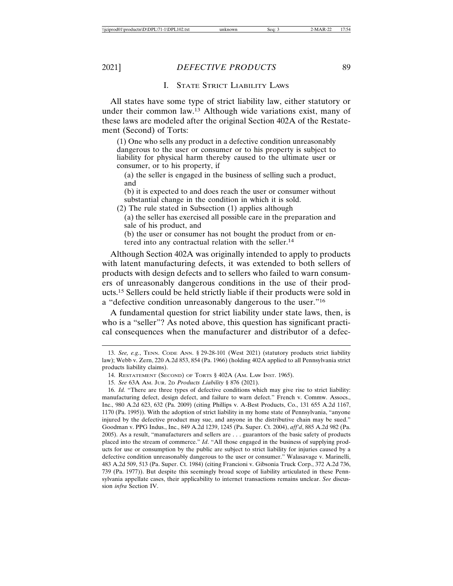### I. STATE STRICT LIABILITY LAWS

All states have some type of strict liability law, either statutory or under their common law.13 Although wide variations exist, many of these laws are modeled after the original Section 402A of the Restatement (Second) of Torts:

(1) One who sells any product in a defective condition unreasonably dangerous to the user or consumer or to his property is subject to liability for physical harm thereby caused to the ultimate user or consumer, or to his property, if

(a) the seller is engaged in the business of selling such a product, and

(b) it is expected to and does reach the user or consumer without substantial change in the condition in which it is sold.

(2) The rule stated in Subsection (1) applies although

(a) the seller has exercised all possible care in the preparation and sale of his product, and

(b) the user or consumer has not bought the product from or entered into any contractual relation with the seller.14

Although Section 402A was originally intended to apply to products with latent manufacturing defects, it was extended to both sellers of products with design defects and to sellers who failed to warn consumers of unreasonably dangerous conditions in the use of their products.15 Sellers could be held strictly liable if their products were sold in a "defective condition unreasonably dangerous to the user."16

A fundamental question for strict liability under state laws, then, is who is a "seller"? As noted above, this question has significant practical consequences when the manufacturer and distributor of a defec-

<sup>13.</sup> *See, e.g.*, TENN. CODE ANN. § 29-28-101 (West 2021) (statutory products strict liability law); Webb v. Zern, 220 A.2d 853, 854 (Pa. 1966) (holding 402A applied to all Pennsylvania strict products liability claims).

<sup>14.</sup> RESTATEMENT (SECOND) OF TORTS § 402A (AM. LAW INST. 1965).

<sup>15.</sup> *See* 63A AM. JUR. 2D *Products Liability* § 876 (2021).

<sup>16.</sup> *Id.* "There are three types of defective conditions which may give rise to strict liability: manufacturing defect, design defect, and failure to warn defect." French v. Commw. Assocs., Inc., 980 A.2d 623, 632 (Pa. 2009) (citing Phillips v. A-Best Products, Co., 131 655 A.2d 1167, 1170 (Pa. 1995)). With the adoption of strict liability in my home state of Pennsylvania, "anyone injured by the defective product may sue, and anyone in the distributive chain may be sued." Goodman v. PPG Indus., Inc., 849 A.2d 1239, 1245 (Pa. Super. Ct. 2004), *aff'd*, 885 A.2d 982 (Pa. 2005). As a result, "manufacturers and sellers are . . . guarantors of the basic safety of products placed into the stream of commerce." *Id*. "All those engaged in the business of supplying products for use or consumption by the public are subject to strict liability for injuries caused by a defective condition unreasonably dangerous to the user or consumer." Walasavage v. Marinelli, 483 A.2d 509, 513 (Pa. Super. Ct. 1984) (citing Francioni v. Gibsonia Truck Corp., 372 A.2d 736, 739 (Pa. 1977)). But despite this seemingly broad scope of liability articulated in these Pennsylvania appellate cases, their applicability to internet transactions remains unclear. *See* discussion *infra* Section IV.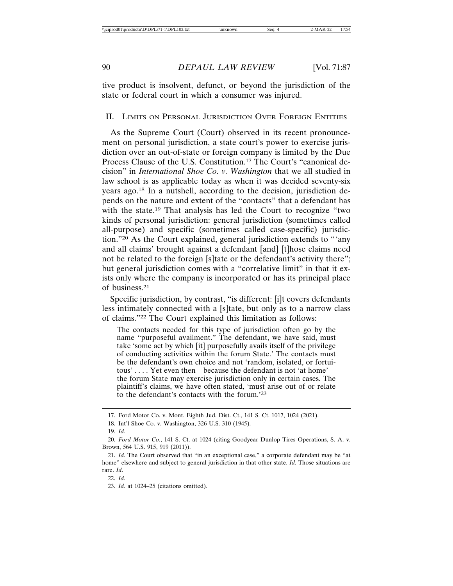tive product is insolvent, defunct, or beyond the jurisdiction of the state or federal court in which a consumer was injured.

### II. LIMITS ON PERSONAL JURISDICTION OVER FOREIGN ENTITIES

As the Supreme Court (Court) observed in its recent pronouncement on personal jurisdiction, a state court's power to exercise jurisdiction over an out-of-state or foreign company is limited by the Due Process Clause of the U.S. Constitution.17 The Court's "canonical decision" in *International Shoe Co. v. Washington* that we all studied in law school is as applicable today as when it was decided seventy-six years ago.18 In a nutshell, according to the decision, jurisdiction depends on the nature and extent of the "contacts" that a defendant has with the state.<sup>19</sup> That analysis has led the Court to recognize "two kinds of personal jurisdiction: general jurisdiction (sometimes called all-purpose) and specific (sometimes called case-specific) jurisdiction."20 As the Court explained, general jurisdiction extends to "'any and all claims' brought against a defendant [and] [t]hose claims need not be related to the foreign [s]tate or the defendant's activity there"; but general jurisdiction comes with a "correlative limit" in that it exists only where the company is incorporated or has its principal place of business.21

Specific jurisdiction, by contrast, "is different: [i]t covers defendants less intimately connected with a [s]tate, but only as to a narrow class of claims."22 The Court explained this limitation as follows:

The contacts needed for this type of jurisdiction often go by the name "purposeful availment." The defendant, we have said, must take 'some act by which [it] purposefully avails itself of the privilege of conducting activities within the forum State.' The contacts must be the defendant's own choice and not 'random, isolated, or fortuitous' . . . . Yet even then—because the defendant is not 'at home' the forum State may exercise jurisdiction only in certain cases. The plaintiff's claims, we have often stated, 'must arise out of or relate to the defendant's contacts with the forum.'23

<sup>17.</sup> Ford Motor Co. v. Mont. Eighth Jud. Dist. Ct., 141 S. Ct. 1017, 1024 (2021).

<sup>18.</sup> Int'l Shoe Co. v. Washington, 326 U.S. 310 (1945).

<sup>19.</sup> *Id.*

<sup>20.</sup> *Ford Motor Co.*, 141 S. Ct. at 1024 (citing Goodyear Dunlop Tires Operations, S. A. v. Brown, 564 U.S. 915, 919 (2011)).

<sup>21.</sup> *Id.* The Court observed that "in an exceptional case," a corporate defendant may be "at home" elsewhere and subject to general jurisdiction in that other state. *Id.* Those situations are rare. *Id*.

<sup>22.</sup> *Id*.

<sup>23.</sup> *Id.* at 1024–25 (citations omitted).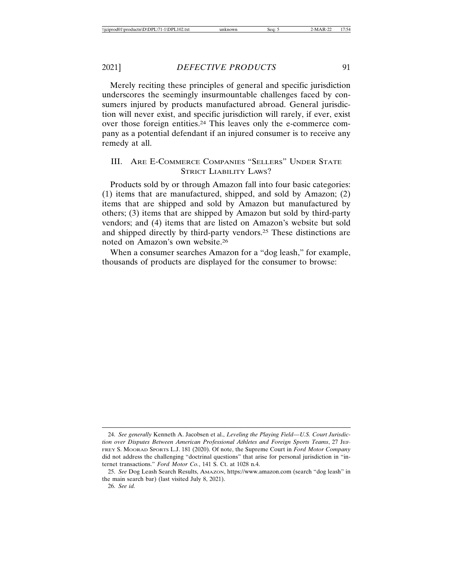Merely reciting these principles of general and specific jurisdiction underscores the seemingly insurmountable challenges faced by consumers injured by products manufactured abroad. General jurisdiction will never exist, and specific jurisdiction will rarely, if ever, exist over those foreign entities.24 This leaves only the e-commerce company as a potential defendant if an injured consumer is to receive any remedy at all.

# III. ARE E-COMMERCE COMPANIES "SELLERS" UNDER STATE STRICT LIABILITY LAWS?

Products sold by or through Amazon fall into four basic categories: (1) items that are manufactured, shipped, and sold by Amazon; (2) items that are shipped and sold by Amazon but manufactured by others; (3) items that are shipped by Amazon but sold by third-party vendors; and (4) items that are listed on Amazon's website but sold and shipped directly by third-party vendors.25 These distinctions are noted on Amazon's own website.26

When a consumer searches Amazon for a "dog leash," for example, thousands of products are displayed for the consumer to browse:

<sup>24.</sup> *See generally* Kenneth A. Jacobsen et al., *Leveling the Playing Field—U.S. Court Jurisdiction over Disputes Between American Professional Athletes and Foreign Sports Teams*, 27 JEF-FREY S. MOORAD SPORTS L.J. 181 (2020). Of note, the Supreme Court in *Ford Motor Company* did not address the challenging "doctrinal questions" that arise for personal jurisdiction in "internet transactions." *Ford Motor Co.*, 141 S. Ct. at 1028 n.4.

<sup>25.</sup> *See* Dog Leash Search Results, AMAZON, https://www.amazon.com (search "dog leash" in the main search bar) (last visited July 8, 2021).

<sup>26.</sup> *See id.*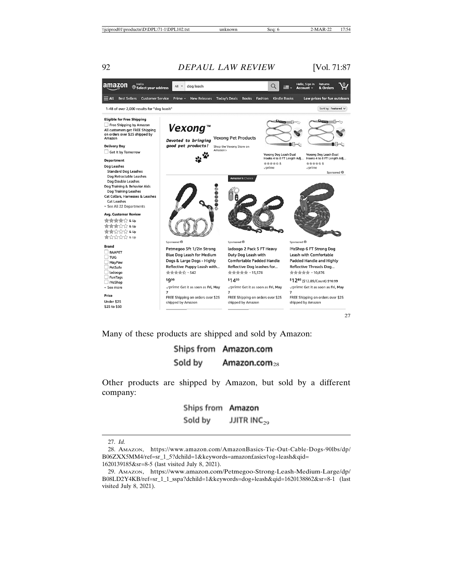

Many of these products are shipped and sold by Amazon:

### Ships from Amazon.com Sold by Amazon.com $_{28}$

Other products are shipped by Amazon, but sold by a different company:

> Ships from Amazon JJITR INC<sub>29</sub> Sold by

1620139185&sr=8-5 (last visited July 8, 2021).

<sup>27.</sup> *Id.*

<sup>28.</sup> AMAZON, https://www.amazon.com/AmazonBasics-Tie-Out-Cable-Dogs-90lbs/dp/ B06ZXX5MM4/ref=sr\_1\_5?dchild=1&keywords=amazon£asics†og+leash&qid=

<sup>29.</sup> AMAZON, https://www.amazon.com/Petmegoo-Strong-Leash-Medium-Large/dp/ B08LD2Y4KB/ref=sr\_1\_1\_sspa?dchild=1&keywords=dog+leash&qid=1620138862&sr=8-1 (last visited July 8, 2021).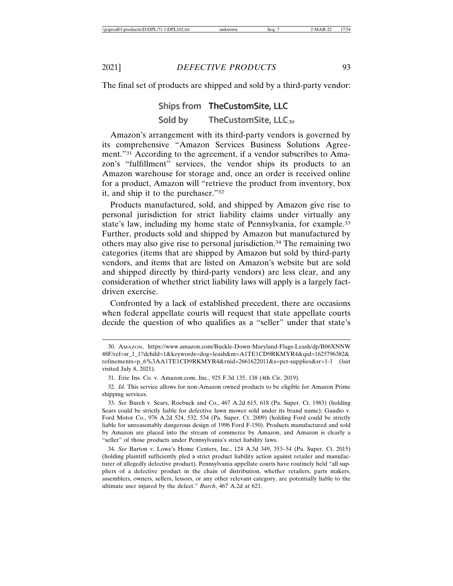The final set of products are shipped and sold by a third-party vendor:

## Ships from TheCustomSite, LLC Sold by TheCustomSite,  $LLC_{30}$

Amazon's arrangement with its third-party vendors is governed by its comprehensive "Amazon Services Business Solutions Agreement."31 According to the agreement, if a vendor subscribes to Amazon's "fulfillment" services, the vendor ships its products to an Amazon warehouse for storage and, once an order is received online for a product, Amazon will "retrieve the product from inventory, box it, and ship it to the purchaser."32

Products manufactured, sold, and shipped by Amazon give rise to personal jurisdiction for strict liability claims under virtually any state's law, including my home state of Pennsylvania, for example.33 Further, products sold and shipped by Amazon but manufactured by others may also give rise to personal jurisdiction.34 The remaining two categories (items that are shipped by Amazon but sold by third-party vendors, and items that are listed on Amazon's website but are sold and shipped directly by third-party vendors) are less clear, and any consideration of whether strict liability laws will apply is a largely factdriven exercise.

Confronted by a lack of established precedent, there are occasions when federal appellate courts will request that state appellate courts decide the question of who qualifies as a "seller" under that state's

<sup>30.</sup> AMAZON, https://www.amazon.com/Buckle-Down-Maryland-Flags-Leash/dp/B06XNNW 48F/ref=sr\_1\_1?dchild=1&keywords=dog+leash&m=A1TE1CD9RKMYR4&qid=1625796382& refinements=p\_6%3AA1TE1CD9RKMYR4&rnid=2661622011&s=pet-supplies&sr=1-1 (last visited July 8, 2021).

<sup>31.</sup> Erie Ins. Co. v. Amazon.com, Inc., 925 F.3d 135, 138 (4th Cir. 2019).

<sup>32.</sup> *Id.* This service allows for non-Amazon owned products to be eligible for Amazon Prime shipping services.

<sup>33.</sup> *See* Burch v. Sears, Roebuck and Co., 467 A.2d 615, 618 (Pa. Super. Ct. 1983) (holding Sears could be strictly liable for defective lawn mower sold under its brand name); Gaudio v. Ford Motor Co., 976 A.2d 524, 532, 534 (Pa. Super. Ct. 2009) (holding Ford could be strictly liable for unreasonably dangerous design of 1996 Ford F-150). Products manufactured and sold by Amazon are placed into the stream of commerce by Amazon, and Amazon is clearly a "seller" of those products under Pennsylvania's strict liability laws.

<sup>34.</sup> *See* Barton v. Lowe's Home Centers, Inc., 124 A.3d 349, 353–54 (Pa. Super. Ct. 2015) (holding plaintiff sufficiently pled a strict product liability action against retailer and manufacturer of allegedly defective product). Pennsylvania appellate courts have routinely held "all suppliers of a defective product in the chain of distribution, whether retailers, parts makers, assemblers, owners, sellers, lessors, or any other relevant category, are potentially liable to the ultimate user injured by the defect." *Burch*, 467 A.2d at 621.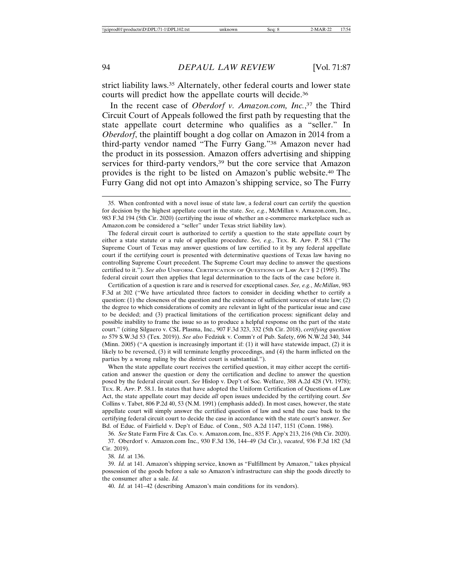strict liability laws.35 Alternately, other federal courts and lower state courts will predict how the appellate courts will decide.36

In the recent case of *Oberdorf v. Amazon.com, Inc.*, 37 the Third Circuit Court of Appeals followed the first path by requesting that the state appellate court determine who qualifies as a "seller." In *Oberdorf*, the plaintiff bought a dog collar on Amazon in 2014 from a third-party vendor named "The Furry Gang."38 Amazon never had the product in its possession. Amazon offers advertising and shipping services for third-party vendors,<sup>39</sup> but the core service that Amazon provides is the right to be listed on Amazon's public website.40 The Furry Gang did not opt into Amazon's shipping service, so The Furry

Certification of a question is rare and is reserved for exceptional cases. *See, e.g.*, *McMillan*, 983 F.3d at 202 ("We have articulated three factors to consider in deciding whether to certify a question:  $(1)$  the closeness of the question and the existence of sufficient sources of state law;  $(2)$ the degree to which considerations of comity are relevant in light of the particular issue and case to be decided; and (3) practical limitations of the certification process: significant delay and possible inability to frame the issue so as to produce a helpful response on the part of the state court." (citing Silguero v. CSL Plasma, Inc., 907 F.3d 323, 332 (5th Cir. 2018), *certifying question to* 579 S.W.3d 53 (Tex. 2019)). *See also* Fedziuk v. Comm'r of Pub. Safety, 696 N.W.2d 340, 344 (Minn. 2005) ("A question is increasingly important if: (1) it will have statewide impact, (2) it is likely to be reversed, (3) it will terminate lengthy proceedings, and (4) the harm inflicted on the parties by a wrong ruling by the district court is substantial.").

When the state appellate court receives the certified question, it may either accept the certification and answer the question or deny the certification and decline to answer the question posed by the federal circuit court. *See* Hislop v. Dep't of Soc. Welfare, 388 A.2d 428 (Vt. 1978); TEX. R. APP. P. 58.1. In states that have adopted the Uniform Certification of Questions of Law Act, the state appellate court may decide *all* open issues undecided by the certifying court. *See* Collins v. Tabet, 806 P.2d 40, 53 (N.M. 1991) (emphasis added). In most cases, however, the state appellate court will simply answer the certified question of law and send the case back to the certifying federal circuit court to decide the case in accordance with the state court's answer. *See* Bd. of Educ. of Fairfield v. Dep't of Educ. of Conn., 503 A.2d 1147, 1151 (Conn. 1986).

36. *See* State Farm Fire & Cas. Co. v. Amazon.com, Inc., 835 F. App'x 213, 216 (9th Cir. 2020). 37. Oberdorf v. Amazon.com Inc., 930 F.3d 136, 144–49 (3d Cir.), *vacated*, 936 F.3d 182 (3d Cir. 2019).

39. *Id.* at 141. Amazon's shipping service, known as "Fulfillment by Amazon," takes physical possession of the goods before a sale so Amazon's infrastructure can ship the goods directly to the consumer after a sale. *Id.*

40. *Id.* at 141–42 (describing Amazon's main conditions for its vendors).

<sup>35.</sup> When confronted with a novel issue of state law, a federal court can certify the question for decision by the highest appellate court in the state. *See, e.g.*, McMillan v. Amazon.com, Inc., 983 F.3d 194 (5th Cir. 2020) (certifying the issue of whether an e-commerce marketplace such as Amazon.com be considered a "seller" under Texas strict liability law).

The federal circuit court is authorized to certify a question to the state appellate court by either a state statute or a rule of appellate procedure. *See, e.g.*, TEX. R. APP. P. 58.1 ("The Supreme Court of Texas may answer questions of law certified to it by any federal appellate court if the certifying court is presented with determinative questions of Texas law having no controlling Supreme Court precedent. The Supreme Court may decline to answer the questions certified to it."). *See also* UNIFORM. CERTIFICATION OF QUESTIONS OF LAW ACT § 2 (1995). The federal circuit court then applies that legal determination to the facts of the case before it.

<sup>38.</sup> *Id.* at 136.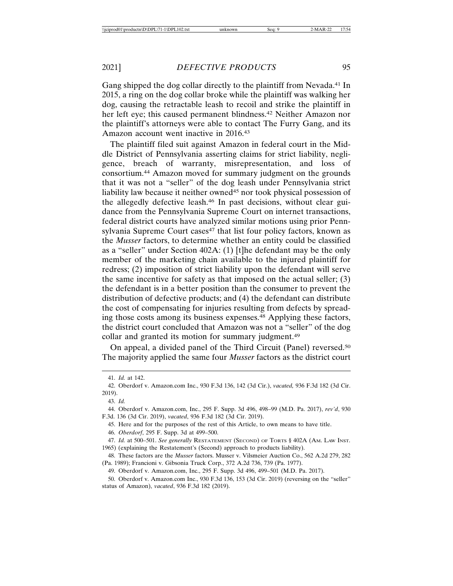Gang shipped the dog collar directly to the plaintiff from Nevada.41 In 2015, a ring on the dog collar broke while the plaintiff was walking her dog, causing the retractable leash to recoil and strike the plaintiff in her left eye; this caused permanent blindness.<sup>42</sup> Neither Amazon nor the plaintiff's attorneys were able to contact The Furry Gang, and its Amazon account went inactive in 2016.43

The plaintiff filed suit against Amazon in federal court in the Middle District of Pennsylvania asserting claims for strict liability, negligence, breach of warranty, misrepresentation, and loss of consortium.44 Amazon moved for summary judgment on the grounds that it was not a "seller" of the dog leash under Pennsylvania strict liability law because it neither owned<sup>45</sup> nor took physical possession of the allegedly defective leash.46 In past decisions, without clear guidance from the Pennsylvania Supreme Court on internet transactions, federal district courts have analyzed similar motions using prior Pennsylvania Supreme Court cases<sup>47</sup> that list four policy factors, known as the *Musser* factors, to determine whether an entity could be classified as a "seller" under Section 402A: (1) [t]he defendant may be the only member of the marketing chain available to the injured plaintiff for redress; (2) imposition of strict liability upon the defendant will serve the same incentive for safety as that imposed on the actual seller; (3) the defendant is in a better position than the consumer to prevent the distribution of defective products; and (4) the defendant can distribute the cost of compensating for injuries resulting from defects by spreading those costs among its business expenses.48 Applying these factors, the district court concluded that Amazon was not a "seller" of the dog collar and granted its motion for summary judgment.<sup>49</sup>

On appeal, a divided panel of the Third Circuit (Panel) reversed.50 The majority applied the same four *Musser* factors as the district court

<sup>41.</sup> *Id.* at 142.

<sup>42.</sup> Oberdorf v. Amazon.com Inc., 930 F.3d 136, 142 (3d Cir.), *vacated,* 936 F.3d 182 (3d Cir. 2019).

<sup>43.</sup> *Id.*

<sup>44.</sup> Oberdorf v. Amazon.com, Inc., 295 F. Supp. 3d 496, 498–99 (M.D. Pa. 2017), *rev'd*, 930 F.3d. 136 (3d Cir. 2019), *vacated*, 936 F.3d 182 (3d Cir. 2019).

<sup>45.</sup> Here and for the purposes of the rest of this Article, to own means to have title.

<sup>46.</sup> *Oberdorf*, 295 F. Supp. 3d at 499–500.

<sup>47.</sup> *Id.* at 500–501. *See generally* RESTATEMENT (SECOND) OF TORTS § 402A (AM. LAW INST. 1965) (explaining the Restatement's (Second) approach to products liability).

<sup>48.</sup> These factors are the *Musser* factors. Musser v. Vilsmeier Auction Co., 562 A.2d 279, 282 (Pa. 1989); Francioni v. Gibsonia Truck Corp., 372 A.2d 736, 739 (Pa. 1977).

<sup>49.</sup> Oberdorf v. Amazon.com, Inc., 295 F. Supp. 3d 496, 499–501 (M.D. Pa. 2017).

<sup>50.</sup> Oberdorf v. Amazon.com Inc., 930 F.3d 136, 153 (3d Cir. 2019) (reversing on the "seller" status of Amazon), *vacated*, 936 F.3d 182 (2019).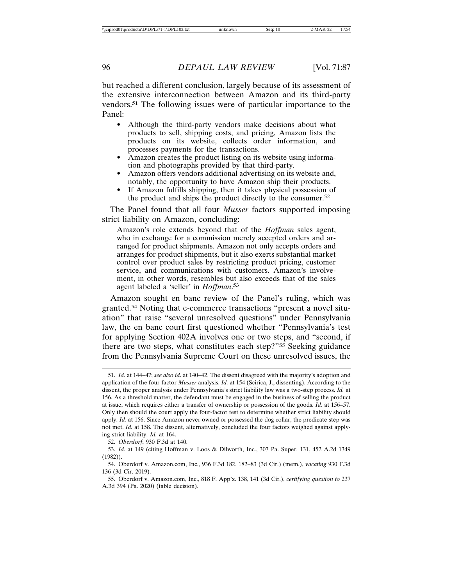but reached a different conclusion, largely because of its assessment of the extensive interconnection between Amazon and its third-party vendors.51 The following issues were of particular importance to the Panel:

- Although the third-party vendors make decisions about what products to sell, shipping costs, and pricing, Amazon lists the products on its website, collects order information, and processes payments for the transactions.
- Amazon creates the product listing on its website using information and photographs provided by that third-party.
- Amazon offers vendors additional advertising on its website and, notably, the opportunity to have Amazon ship their products.
- If Amazon fulfills shipping, then it takes physical possession of the product and ships the product directly to the consumer.52

The Panel found that all four *Musser* factors supported imposing strict liability on Amazon, concluding:

Amazon's role extends beyond that of the *Hoffman* sales agent, who in exchange for a commission merely accepted orders and arranged for product shipments. Amazon not only accepts orders and arranges for product shipments, but it also exerts substantial market control over product sales by restricting product pricing, customer service, and communications with customers. Amazon's involvement, in other words, resembles but also exceeds that of the sales agent labeled a 'seller' in *Hoffman*. 53

Amazon sought en banc review of the Panel's ruling, which was granted.54 Noting that e-commerce transactions "present a novel situation" that raise "several unresolved questions" under Pennsylvania law, the en banc court first questioned whether "Pennsylvania's test for applying Section 402A involves one or two steps, and "second, if there are two steps, what constitutes each step?"55 Seeking guidance from the Pennsylvania Supreme Court on these unresolved issues, the

<sup>51.</sup> *Id.* at 144–47; *see also id*. at 140–42. The dissent disagreed with the majority's adoption and application of the four-factor *Musser* analysis. *Id.* at 154 (Scirica, J., dissenting). According to the dissent, the proper analysis under Pennsylvania's strict liability law was a two-step process. *Id.* at 156. As a threshold matter, the defendant must be engaged in the business of selling the product at issue, which requires either a transfer of ownership or possession of the goods. *Id*. at 156–57. Only then should the court apply the four-factor test to determine whether strict liability should apply. *Id.* at 156. Since Amazon never owned or possessed the dog collar, the predicate step was not met. *Id.* at 158. The dissent, alternatively, concluded the four factors weighed against applying strict liability. *Id.* at 164.

<sup>52.</sup> *Oberdorf*, 930 F.3d at 140.

<sup>53.</sup> *Id.* at 149 (citing Hoffman v. Loos & Dilworth, Inc., 307 Pa. Super. 131, 452 A.2d 1349 (1982)).

<sup>54.</sup> Oberdorf v. Amazon.com, Inc., 936 F.3d 182, 182–83 (3d Cir.) (mem.), *vacating* 930 F.3d 136 (3d Cir. 2019).

<sup>55.</sup> Oberdorf v. Amazon.com, Inc., 818 F. App'x. 138, 141 (3d Cir.), *certifying question to* 237 A.3d 394 (Pa. 2020) (table decision).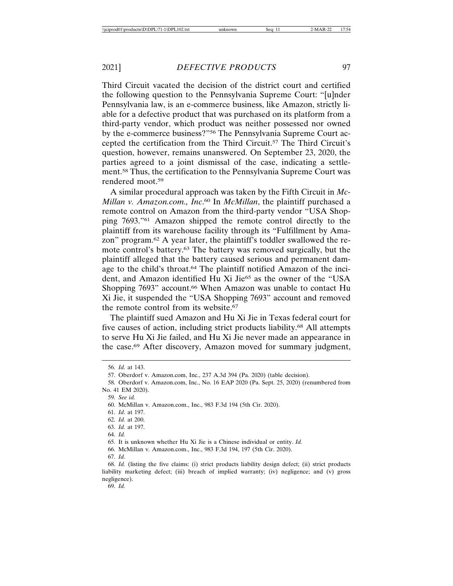Third Circuit vacated the decision of the district court and certified the following question to the Pennsylvania Supreme Court: "[u]nder Pennsylvania law, is an e-commerce business, like Amazon, strictly liable for a defective product that was purchased on its platform from a third-party vendor, which product was neither possessed nor owned by the e-commerce business?"56 The Pennsylvania Supreme Court accepted the certification from the Third Circuit.57 The Third Circuit's question, however, remains unanswered. On September 23, 2020, the parties agreed to a joint dismissal of the case, indicating a settlement.58 Thus, the certification to the Pennsylvania Supreme Court was rendered moot.59

A similar procedural approach was taken by the Fifth Circuit in *Mc-Millan v. Amazon.com., Inc*. 60 In *McMillan*, the plaintiff purchased a remote control on Amazon from the third-party vendor "USA Shopping 7693."61 Amazon shipped the remote control directly to the plaintiff from its warehouse facility through its "Fulfillment by Amazon" program.62 A year later, the plaintiff's toddler swallowed the remote control's battery.63 The battery was removed surgically, but the plaintiff alleged that the battery caused serious and permanent damage to the child's throat.64 The plaintiff notified Amazon of the incident, and Amazon identified Hu Xi Jie<sup>65</sup> as the owner of the "USA" Shopping 7693" account.<sup>66</sup> When Amazon was unable to contact Hu Xi Jie, it suspended the "USA Shopping 7693" account and removed the remote control from its website.67

The plaintiff sued Amazon and Hu Xi Jie in Texas federal court for five causes of action, including strict products liability.68 All attempts to serve Hu Xi Jie failed, and Hu Xi Jie never made an appearance in the case.69 After discovery, Amazon moved for summary judgment,

59. *See id.*

64. *Id.*

<sup>56.</sup> *Id.* at 143.

<sup>57.</sup> Oberdorf v. Amazon.com, Inc., 237 A.3d 394 (Pa. 2020) (table decision).

<sup>58.</sup> Oberdorf v. Amazon.com, Inc., No. 16 EAP 2020 (Pa. Sept. 25, 2020) (renumbered from No. 41 EM 2020).

<sup>60.</sup> McMillan v. Amazon.com., Inc., 983 F.3d 194 (5th Cir. 2020).

<sup>61.</sup> *Id*. at 197.

<sup>62.</sup> *Id.* at 200.

<sup>63.</sup> *Id.* at 197.

<sup>65.</sup> It is unknown whether Hu Xi Jie is a Chinese individual or entity. *Id.*

<sup>66.</sup> McMillan v. Amazon.com., Inc., 983 F.3d 194, 197 (5th Cir. 2020).

<sup>67.</sup> *Id.*

<sup>68.</sup> *Id.* (listing the five claims: (i) strict products liability design defect; (ii) strict products liability marketing defect; (iii) breach of implied warranty; (iv) negligence; and (v) gross negligence).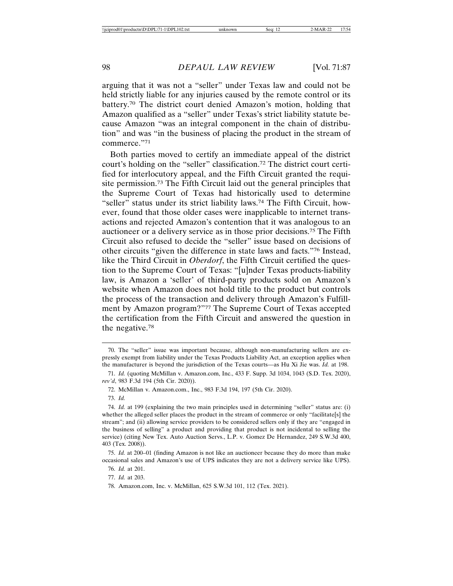arguing that it was not a "seller" under Texas law and could not be held strictly liable for any injuries caused by the remote control or its battery.70 The district court denied Amazon's motion, holding that Amazon qualified as a "seller" under Texas's strict liability statute because Amazon "was an integral component in the chain of distribution" and was "in the business of placing the product in the stream of commerce."71

Both parties moved to certify an immediate appeal of the district court's holding on the "seller" classification.72 The district court certified for interlocutory appeal, and the Fifth Circuit granted the requisite permission.73 The Fifth Circuit laid out the general principles that the Supreme Court of Texas had historically used to determine "seller" status under its strict liability laws.<sup>74</sup> The Fifth Circuit, however, found that those older cases were inapplicable to internet transactions and rejected Amazon's contention that it was analogous to an auctioneer or a delivery service as in those prior decisions.75 The Fifth Circuit also refused to decide the "seller" issue based on decisions of other circuits "given the difference in state laws and facts."76 Instead, like the Third Circuit in *Oberdorf*, the Fifth Circuit certified the question to the Supreme Court of Texas: "[u]nder Texas products-liability law, is Amazon a 'seller' of third-party products sold on Amazon's website when Amazon does not hold title to the product but controls the process of the transaction and delivery through Amazon's Fulfillment by Amazon program?"77 The Supreme Court of Texas accepted the certification from the Fifth Circuit and answered the question in the negative.78

<sup>70.</sup> The "seller" issue was important because, although non-manufacturing sellers are expressly exempt from liability under the Texas Products Liability Act, an exception applies when the manufacturer is beyond the jurisdiction of the Texas courts—as Hu Xi Jie was. *Id.* at 198.

<sup>71.</sup> *Id.* (quoting McMillan v. Amazon.com, Inc., 433 F. Supp. 3d 1034, 1043 (S.D. Tex. 2020), *rev'd*, 983 F.3d 194 (5th Cir. 2020)).

<sup>72.</sup> McMillan v. Amazon.com., Inc., 983 F.3d 194, 197 (5th Cir. 2020).

<sup>73.</sup> *Id.*

<sup>74.</sup> *Id.* at 199 (explaining the two main principles used in determining "seller" status are: (i) whether the alleged seller places the product in the stream of commerce or only "facilitate[s] the stream"; and (ii) allowing service providers to be considered sellers only if they are "engaged in the business of selling" a product and providing that product is not incidental to selling the service) (citing New Tex. Auto Auction Servs., L.P. v. Gomez De Hernandez, 249 S.W.3d 400, 403 (Tex. 2008)).

<sup>75.</sup> *Id.* at 200–01 (finding Amazon is not like an auctioneer because they do more than make occasional sales and Amazon's use of UPS indicates they are not a delivery service like UPS).

<sup>76.</sup> *Id.* at 201.

<sup>77.</sup> *Id.* at 203.

<sup>78.</sup> Amazon.com, Inc. v. McMillan, 625 S.W.3d 101, 112 (Tex. 2021).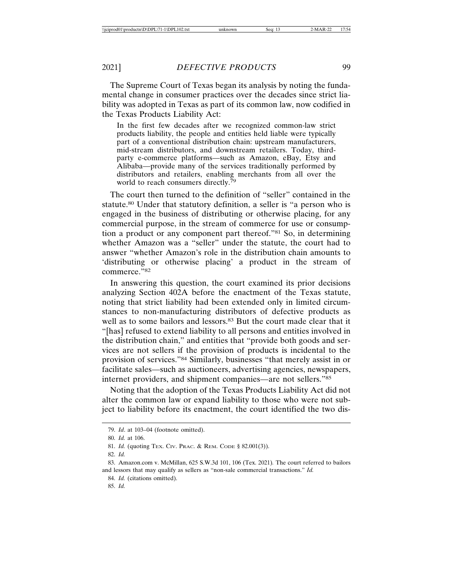The Supreme Court of Texas began its analysis by noting the fundamental change in consumer practices over the decades since strict liability was adopted in Texas as part of its common law, now codified in the Texas Products Liability Act:

In the first few decades after we recognized common-law strict products liability, the people and entities held liable were typically part of a conventional distribution chain: upstream manufacturers, mid-stream distributors, and downstream retailers. Today, thirdparty e-commerce platforms—such as Amazon, eBay, Etsy and Alibaba—provide many of the services traditionally performed by distributors and retailers, enabling merchants from all over the world to reach consumers directly.<sup>79</sup>

The court then turned to the definition of "seller" contained in the statute.80 Under that statutory definition, a seller is "a person who is engaged in the business of distributing or otherwise placing, for any commercial purpose, in the stream of commerce for use or consumption a product or any component part thereof."81 So, in determining whether Amazon was a "seller" under the statute, the court had to answer "whether Amazon's role in the distribution chain amounts to 'distributing or otherwise placing' a product in the stream of commerce."82

In answering this question, the court examined its prior decisions analyzing Section 402A before the enactment of the Texas statute, noting that strict liability had been extended only in limited circumstances to non-manufacturing distributors of defective products as well as to some bailors and lessors.<sup>83</sup> But the court made clear that it "[has] refused to extend liability to all persons and entities involved in the distribution chain," and entities that "provide both goods and services are not sellers if the provision of products is incidental to the provision of services."84 Similarly, businesses "that merely assist in or facilitate sales—such as auctioneers, advertising agencies, newspapers, internet providers, and shipment companies—are not sellers."85

Noting that the adoption of the Texas Products Liability Act did not alter the common law or expand liability to those who were not subject to liability before its enactment, the court identified the two dis-

<sup>79.</sup> *Id*. at 103–04 (footnote omitted).

<sup>80.</sup> *Id.* at 106.

<sup>81.</sup> *Id.* (quoting TEX. CIV. PRAC. & REM. CODE § 82.001(3)).

<sup>82.</sup> *Id.*

<sup>83.</sup> Amazon.com v. McMillan, 625 S.W.3d 101, 106 (Tex. 2021)*.* The court referred to bailors and lessors that may qualify as sellers as "non-sale commercial transactions." *Id.*

<sup>84.</sup> *Id.* (citations omitted).

<sup>85.</sup> *Id.*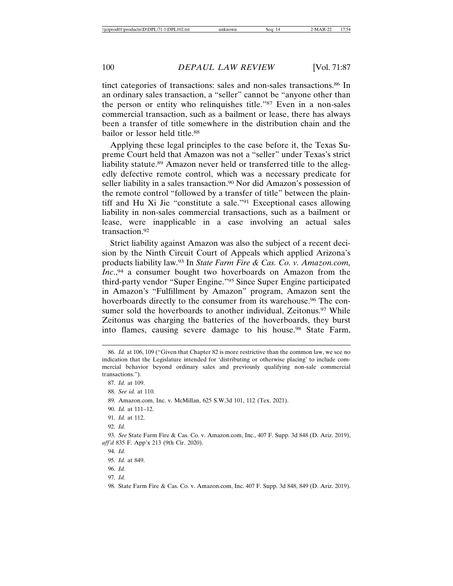tinct categories of transactions: sales and non-sales transactions.<sup>86</sup> In an ordinary sales transaction, a "seller" cannot be "anyone other than the person or entity who relinquishes title."87 Even in a non-sales commercial transaction, such as a bailment or lease, there has always been a transfer of title somewhere in the distribution chain and the bailor or lessor held title.88

Applying these legal principles to the case before it, the Texas Supreme Court held that Amazon was not a "seller" under Texas's strict liability statute.89 Amazon never held or transferred title to the allegedly defective remote control, which was a necessary predicate for seller liability in a sales transaction.<sup>90</sup> Nor did Amazon's possession of the remote control "followed by a transfer of title" between the plaintiff and Hu Xi Jie "constitute a sale."91 Exceptional cases allowing liability in non-sales commercial transactions, such as a bailment or lease, were inapplicable in a case involving an actual sales transaction.92

Strict liability against Amazon was also the subject of a recent decision by the Ninth Circuit Court of Appeals which applied Arizona's products liability law.93 In *State Farm Fire & Cas. Co. v. Amazon.com, Inc.*,<sup>94</sup> a consumer bought two hoverboards on Amazon from the third-party vendor "Super Engine."95 Since Super Engine participated in Amazon's "Fulfillment by Amazon" program, Amazon sent the hoverboards directly to the consumer from its warehouse.<sup>96</sup> The consumer sold the hoverboards to another individual, Zeitonus.<sup>97</sup> While Zeitonus was charging the batteries of the hoverboards, they burst into flames, causing severe damage to his house.98 State Farm,

<sup>86.</sup> *Id.* at 106, 109 ("Given that Chapter 82 is more restrictive than the common law, we see no indication that the Legislature intended for 'distributing or otherwise placing' to include commercial behavior beyond ordinary sales and previously qualifying non-sale commercial transactions.").

<sup>87.</sup> *Id.* at 109.

<sup>88.</sup> *See id.* at 110.

<sup>89.</sup> Amazon.com, Inc. v. McMillan, 625 S.W.3d 101, 112 (Tex. 2021).

<sup>90.</sup> *Id.* at 111–12.

<sup>91.</sup> *Id.* at 112.

<sup>92.</sup> *Id.*

<sup>93.</sup> *See* State Farm Fire & Cas. Co. v. Amazon.com, Inc., 407 F. Supp. 3d 848 (D. Ariz. 2019), *aff'd* 835 F. App'x 213 (9th Cir. 2020).

<sup>94.</sup> *Id.*

<sup>95.</sup> *Id.* at 849.

<sup>96.</sup> *Id.*

<sup>97.</sup> *Id.*

<sup>98.</sup> State Farm Fire & Cas. Co. v. Amazon.com, Inc. 407 F. Supp. 3d 848, 849 (D. Ariz. 2019).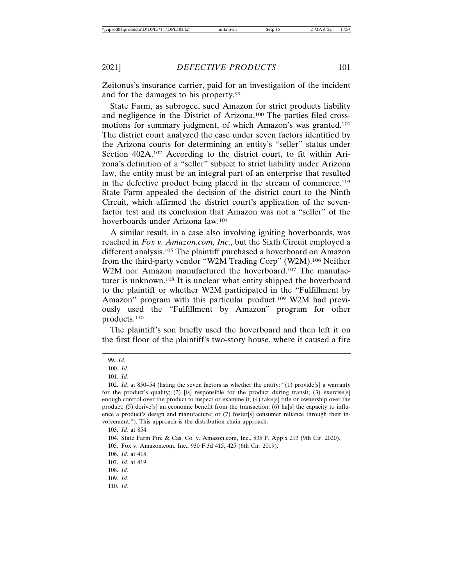Zeitonus's insurance carrier, paid for an investigation of the incident and for the damages to his property.99

State Farm, as subrogee, sued Amazon for strict products liability and negligence in the District of Arizona.100 The parties filed crossmotions for summary judgment, of which Amazon's was granted.101 The district court analyzed the case under seven factors identified by the Arizona courts for determining an entity's "seller" status under Section 402A.<sup>102</sup> According to the district court, to fit within Arizona's definition of a "seller" subject to strict liability under Arizona law, the entity must be an integral part of an enterprise that resulted in the defective product being placed in the stream of commerce.103 State Farm appealed the decision of the district court to the Ninth Circuit, which affirmed the district court's application of the sevenfactor test and its conclusion that Amazon was not a "seller" of the hoverboards under Arizona law.104

A similar result, in a case also involving igniting hoverboards, was reached in *Fox v. Amazon.com, Inc*., but the Sixth Circuit employed a different analysis.105 The plaintiff purchased a hoverboard on Amazon from the third-party vendor "W2M Trading Corp" (W2M).106 Neither W2M nor Amazon manufactured the hoverboard.<sup>107</sup> The manufacturer is unknown.108 It is unclear what entity shipped the hoverboard to the plaintiff or whether W2M participated in the "Fulfillment by Amazon" program with this particular product.<sup>109</sup> W2M had previously used the "Fulfillment by Amazon" program for other products.110

The plaintiff's son briefly used the hoverboard and then left it on the first floor of the plaintiff's two-story house, where it caused a fire

<sup>99.</sup> *Id.*

<sup>100.</sup> *Id.*

<sup>101.</sup> *Id.*

<sup>102.</sup> *Id.* at 850–54 (listing the seven factors as whether the entity: "(1) provide[s] a warranty for the product's quality; (2) [is] responsible for the product during transit; (3) exercise[s] enough control over the product to inspect or examine it; (4) take[s] title or ownership over the product; (5) derive[s] an economic benefit from the transaction; (6) ha[s] the capacity to influence a product's design and manufacture; or (7) foster[s] consumer reliance through their involvement."). This approach is the distribution chain approach.

<sup>103.</sup> *Id.* at 854.

<sup>104.</sup> State Farm Fire & Cas. Co. v. Amazon.com, Inc., 835 F. App'x 213 (9th Cir. 2020).

<sup>105.</sup> Fox v. Amazon.com, Inc., 930 F.3d 415, 425 (6th Cir. 2019).

<sup>106.</sup> *Id.* at 418.

<sup>107.</sup> *Id.* at 419.

<sup>108.</sup> *Id.*

<sup>109.</sup> *Id.*

<sup>110.</sup> *Id.*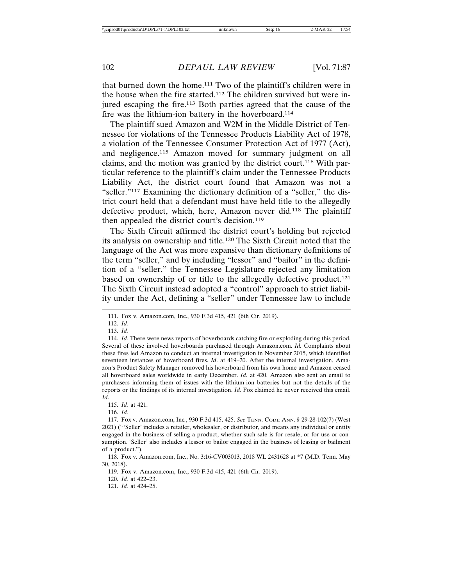that burned down the home.111 Two of the plaintiff's children were in the house when the fire started.112 The children survived but were injured escaping the fire.113 Both parties agreed that the cause of the fire was the lithium-ion battery in the hoverboard.<sup>114</sup>

The plaintiff sued Amazon and W2M in the Middle District of Tennessee for violations of the Tennessee Products Liability Act of 1978, a violation of the Tennessee Consumer Protection Act of 1977 (Act), and negligence.115 Amazon moved for summary judgment on all claims, and the motion was granted by the district court.116 With particular reference to the plaintiff's claim under the Tennessee Products Liability Act, the district court found that Amazon was not a "seller."117 Examining the dictionary definition of a "seller," the district court held that a defendant must have held title to the allegedly defective product, which, here, Amazon never did.118 The plaintiff then appealed the district court's decision.119

The Sixth Circuit affirmed the district court's holding but rejected its analysis on ownership and title.120 The Sixth Circuit noted that the language of the Act was more expansive than dictionary definitions of the term "seller," and by including "lessor" and "bailor" in the definition of a "seller," the Tennessee Legislature rejected any limitation based on ownership of or title to the allegedly defective product.121 The Sixth Circuit instead adopted a "control" approach to strict liability under the Act, defining a "seller" under Tennessee law to include

115. *Id.* at 421.

116. *Id.*

120. *Id.* at 422–23.

<sup>111.</sup> Fox v. Amazon.com, Inc., 930 F.3d 415, 421 (6th Cir. 2019).

<sup>112.</sup> *Id.*

<sup>113.</sup> *Id.*

<sup>114.</sup> *Id.* There were news reports of hoverboards catching fire or exploding during this period. Several of these involved hoverboards purchased through Amazon.com. *Id.* Complaints about these fires led Amazon to conduct an internal investigation in November 2015, which identified seventeen instances of hoverboard fires. *Id*. at 419–20. After the internal investigation, Amazon's Product Safety Manager removed his hoverboard from his own home and Amazon ceased all hoverboard sales worldwide in early December. *Id.* at 420. Amazon also sent an email to purchasers informing them of issues with the lithium-ion batteries but not the details of the reports or the findings of its internal investigation. *Id.* Fox claimed he never received this email. *Id*.

<sup>117.</sup> Fox v. Amazon.com, Inc*.*, 930 F.3d 415, 425. *See* TENN. CODE ANN. § 29-28-102(7) (West 2021) ("'Seller' includes a retailer, wholesaler, or distributor, and means any individual or entity engaged in the business of selling a product, whether such sale is for resale, or for use or consumption. 'Seller' also includes a lessor or bailor engaged in the business of leasing or bailment of a product.").

<sup>118.</sup> Fox v. Amazon.com, Inc., No. 3:16-CV003013, 2018 WL 2431628 at \*7 (M.D. Tenn. May 30, 2018).

<sup>119.</sup> Fox v. Amazon.com, Inc., 930 F.3d 415, 421 (6th Cir. 2019).

<sup>121.</sup> *Id.* at 424–25.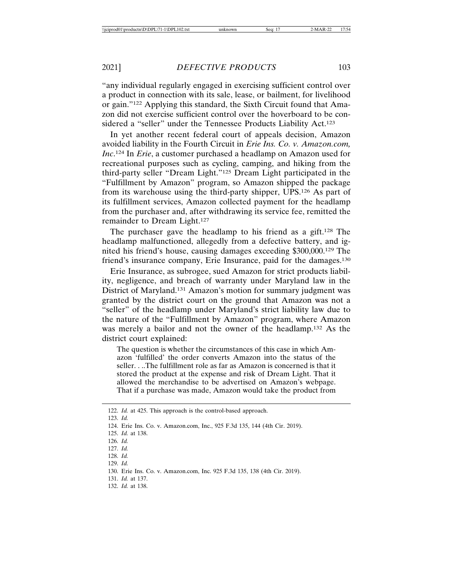"any individual regularly engaged in exercising sufficient control over a product in connection with its sale, lease, or bailment, for livelihood or gain."122 Applying this standard, the Sixth Circuit found that Amazon did not exercise sufficient control over the hoverboard to be considered a "seller" under the Tennessee Products Liability Act.<sup>123</sup>

In yet another recent federal court of appeals decision, Amazon avoided liability in the Fourth Circuit in *Erie Ins. Co. v. Amazon.com, Inc*. 124 In *Erie*, a customer purchased a headlamp on Amazon used for recreational purposes such as cycling, camping, and hiking from the third-party seller "Dream Light."125 Dream Light participated in the "Fulfillment by Amazon" program, so Amazon shipped the package from its warehouse using the third-party shipper, UPS.126 As part of its fulfillment services, Amazon collected payment for the headlamp from the purchaser and, after withdrawing its service fee, remitted the remainder to Dream Light.127

The purchaser gave the headlamp to his friend as a gift.128 The headlamp malfunctioned, allegedly from a defective battery, and ignited his friend's house, causing damages exceeding \$300,000.129 The friend's insurance company, Erie Insurance, paid for the damages.130

Erie Insurance, as subrogee, sued Amazon for strict products liability, negligence, and breach of warranty under Maryland law in the District of Maryland.131 Amazon's motion for summary judgment was granted by the district court on the ground that Amazon was not a "seller" of the headlamp under Maryland's strict liability law due to the nature of the "Fulfillment by Amazon" program, where Amazon was merely a bailor and not the owner of the headlamp.132 As the district court explained:

The question is whether the circumstances of this case in which Amazon 'fulfilled' the order converts Amazon into the status of the seller. . ..The fulfillment role as far as Amazon is concerned is that it stored the product at the expense and risk of Dream Light. That it allowed the merchandise to be advertised on Amazon's webpage. That if a purchase was made, Amazon would take the product from

<sup>122.</sup> *Id.* at 425. This approach is the control-based approach.

<sup>123.</sup> *Id.*

<sup>124.</sup> Erie Ins. Co. v. Amazon.com, Inc., 925 F.3d 135, 144 (4th Cir. 2019).

<sup>125.</sup> *Id.* at 138.

<sup>126.</sup> *Id.*

<sup>127.</sup> *Id.*

<sup>128.</sup> *Id.*

<sup>129.</sup> *Id.*

<sup>130.</sup> Erie Ins. Co. v. Amazon.com, Inc. 925 F.3d 135, 138 (4th Cir. 2019).

<sup>131.</sup> *Id.* at 137.

<sup>132.</sup> *Id.* at 138.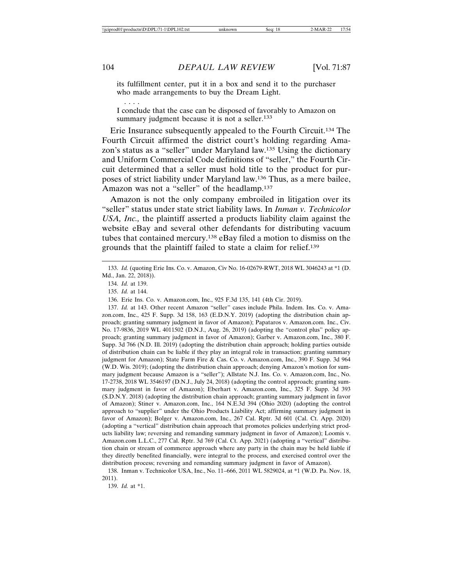its fulfillment center, put it in a box and send it to the purchaser who made arrangements to buy the Dream Light.

I conclude that the case can be disposed of favorably to Amazon on summary judgment because it is not a seller.<sup>133</sup>

Erie Insurance subsequently appealed to the Fourth Circuit.134 The Fourth Circuit affirmed the district court's holding regarding Amazon's status as a "seller" under Maryland law.135 Using the dictionary and Uniform Commercial Code definitions of "seller," the Fourth Circuit determined that a seller must hold title to the product for purposes of strict liability under Maryland law.136 Thus, as a mere bailee, Amazon was not a "seller" of the headlamp.<sup>137</sup>

Amazon is not the only company embroiled in litigation over its "seller" status under state strict liability laws. In *Inman v. Technicolor USA, Inc.,* the plaintiff asserted a products liability claim against the website eBay and several other defendants for distributing vacuum tubes that contained mercury.138 eBay filed a motion to dismiss on the grounds that the plaintiff failed to state a claim for relief.139

136. Erie Ins. Co. v. Amazon.com, Inc., 925 F.3d 135, 141 (4th Cir. 2019).

137. *Id.* at 143. Other recent Amazon "seller" cases include Phila. Indem. Ins. Co. v. Amazon.com, Inc., 425 F. Supp. 3d 158, 163 (E.D.N.Y. 2019) (adopting the distribution chain approach; granting summary judgment in favor of Amazon); Papataros v. Amazon.com. Inc., Civ. No. 17-9836, 2019 WL 4011502 (D.N.J., Aug. 26, 2019) (adopting the "control plus" policy approach; granting summary judgment in favor of Amazon); Garber v. Amazon.com, Inc., 380 F. Supp. 3d 766 (N.D. Ill. 2019) (adopting the distribution chain approach; holding parties outside of distribution chain can be liable if they play an integral role in transaction; granting summary judgment for Amazon); State Farm Fire & Cas. Co. v. Amazon.com, Inc., 390 F. Supp. 3d 964 (W.D. Wis. 2019); (adopting the distribution chain approach; denying Amazon's motion for summary judgment because Amazon is a "seller"); Allstate N.J. Ins. Co. v. Amazon.com, Inc., No. 17-2738, 2018 WL 3546197 (D.N.J., July 24, 2018) (adopting the control approach; granting summary judgment in favor of Amazon); Eberhart v. Amazon.com, Inc., 325 F. Supp. 3d 393 (S.D.N.Y. 2018) (adopting the distribution chain approach; granting summary judgment in favor of Amazon); Stiner v. Amazon.com, Inc., 164 N.E.3d 394 (Ohio 2020) (adopting the control approach to "supplier" under the Ohio Products Liability Act; affirming summary judgment in favor of Amazon); Bolger v. Amazon.com, Inc., 267 Cal. Rptr. 3d 601 (Cal. Ct. App. 2020) (adopting a "vertical" distribution chain approach that promotes policies underlying strict products liability law; reversing and remanding summary judgment in favor of Amazon); Loomis v. Amazon.com L.L.C., 277 Cal. Rptr. 3d 769 (Cal. Ct. App. 2021) (adopting a "vertical" distribution chain or stream of commerce approach where any party in the chain may be held liable if they directly benefited financially, were integral to the process, and exercised control over the distribution process; reversing and remanding summary judgment in favor of Amazon).

138. Inman v. Technicolor USA, Inc., No. 11–666, 2011 WL 5829024, at \*1 (W.D. Pa. Nov. 18, 2011).

139. *Id.* at \*1.

. . . .

<sup>133.</sup> *Id.* (quoting Erie Ins. Co. v. Amazon, Civ No. 16-02679-RWT, 2018 WL 3046243 at \*1 (D. Md., Jan. 22, 2018)).

<sup>134.</sup> *Id.* at 139.

<sup>135.</sup> *Id.* at 144.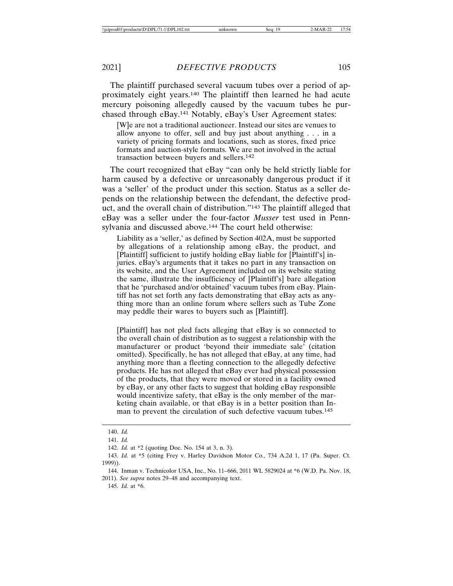The plaintiff purchased several vacuum tubes over a period of approximately eight years.140 The plaintiff then learned he had acute mercury poisoning allegedly caused by the vacuum tubes he purchased through eBay.141 Notably, eBay's User Agreement states:

[W]e are not a traditional auctioneer. Instead our sites are venues to allow anyone to offer, sell and buy just about anything . . . in a variety of pricing formats and locations, such as stores, fixed price formats and auction-style formats. We are not involved in the actual transaction between buyers and sellers.142

The court recognized that eBay "can only be held strictly liable for harm caused by a defective or unreasonably dangerous product if it was a 'seller' of the product under this section. Status as a seller depends on the relationship between the defendant, the defective product, and the overall chain of distribution."143 The plaintiff alleged that eBay was a seller under the four-factor *Musser* test used in Pennsylvania and discussed above.144 The court held otherwise:

Liability as a 'seller,' as defined by Section 402A, must be supported by allegations of a relationship among eBay, the product, and [Plaintiff] sufficient to justify holding eBay liable for [Plaintiff's] injuries. eBay's arguments that it takes no part in any transaction on its website, and the User Agreement included on its website stating the same, illustrate the insufficiency of [Plaintiff's] bare allegation that he 'purchased and/or obtained' vacuum tubes from eBay. Plaintiff has not set forth any facts demonstrating that eBay acts as anything more than an online forum where sellers such as Tube Zone may peddle their wares to buyers such as [Plaintiff].

[Plaintiff] has not pled facts alleging that eBay is so connected to the overall chain of distribution as to suggest a relationship with the manufacturer or product 'beyond their immediate sale' (citation omitted). Specifically, he has not alleged that eBay, at any time, had anything more than a fleeting connection to the allegedly defective products. He has not alleged that eBay ever had physical possession of the products, that they were moved or stored in a facility owned by eBay, or any other facts to suggest that holding eBay responsible would incentivize safety, that eBay is the only member of the marketing chain available, or that eBay is in a better position than Inman to prevent the circulation of such defective vacuum tubes.<sup>145</sup>

145. *Id.* at \*6.

<sup>140.</sup> *Id.*

<sup>141.</sup> *Id.*

<sup>142.</sup> *Id.* at \*2 (quoting Doc. No. 154 at 3, n. 3).

<sup>143.</sup> *Id.* at \*5 (citing Frey v. Harley Davidson Motor Co., 734 A.2d 1, 17 (Pa. Super. Ct. 1999)).

<sup>144.</sup> Inman v. Technicolor USA, Inc., No. 11–666, 2011 WL 5829024 at \*6 (W.D. Pa. Nov. 18, 2011). *See supra* notes 29–48 and accompanying text.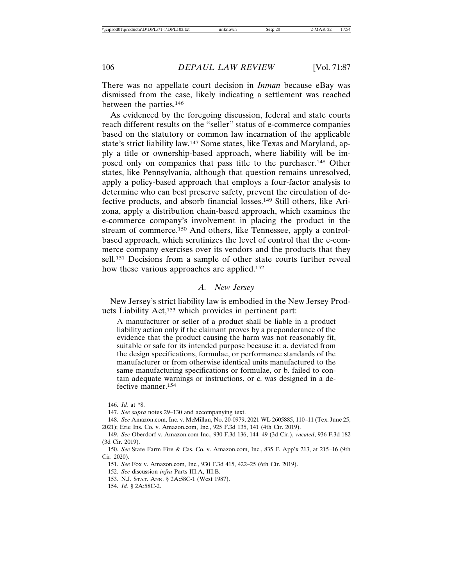There was no appellate court decision in *Inman* because eBay was dismissed from the case, likely indicating a settlement was reached between the parties.146

As evidenced by the foregoing discussion, federal and state courts reach different results on the "seller" status of e-commerce companies based on the statutory or common law incarnation of the applicable state's strict liability law.147 Some states, like Texas and Maryland, apply a title or ownership-based approach, where liability will be imposed only on companies that pass title to the purchaser.148 Other states, like Pennsylvania, although that question remains unresolved, apply a policy-based approach that employs a four-factor analysis to determine who can best preserve safety, prevent the circulation of defective products, and absorb financial losses.149 Still others, like Arizona, apply a distribution chain-based approach, which examines the e-commerce company's involvement in placing the product in the stream of commerce.150 And others, like Tennessee, apply a controlbased approach, which scrutinizes the level of control that the e-commerce company exercises over its vendors and the products that they sell.<sup>151</sup> Decisions from a sample of other state courts further reveal how these various approaches are applied.152

## *A. New Jersey*

New Jersey's strict liability law is embodied in the New Jersey Products Liability Act,153 which provides in pertinent part:

A manufacturer or seller of a product shall be liable in a product liability action only if the claimant proves by a preponderance of the evidence that the product causing the harm was not reasonably fit, suitable or safe for its intended purpose because it: a. deviated from the design specifications, formulae, or performance standards of the manufacturer or from otherwise identical units manufactured to the same manufacturing specifications or formulae, or b. failed to contain adequate warnings or instructions, or c. was designed in a defective manner.154

<sup>146.</sup> *Id.* at \*8.

<sup>147.</sup> *See supra* notes 29–130 and accompanying text.

<sup>148.</sup> *See* Amazon.com, Inc. v. McMillan, No. 20-0979, 2021 WL 2605885, 110–11 (Tex. June 25, 2021); Erie Ins. Co. v. Amazon.com, Inc., 925 F.3d 135, 141 (4th Cir. 2019).

<sup>149.</sup> *See* Oberdorf v. Amazon.com Inc., 930 F.3d 136, 144–49 (3d Cir.), *vacated*, 936 F.3d 182 (3d Cir. 2019).

<sup>150.</sup> *See* State Farm Fire & Cas. Co. v. Amazon.com, Inc., 835 F. App'x 213, at 215–16 (9th Cir. 2020).

<sup>151.</sup> *See* Fox v. Amazon.com, Inc., 930 F.3d 415, 422–25 (6th Cir. 2019).

<sup>152.</sup> *See* discussion *infra* Parts III.A, III.B.

<sup>153.</sup> N.J. STAT. ANN. § 2A:58C-1 (West 1987).

<sup>154.</sup> *Id.* § 2A:58C-2.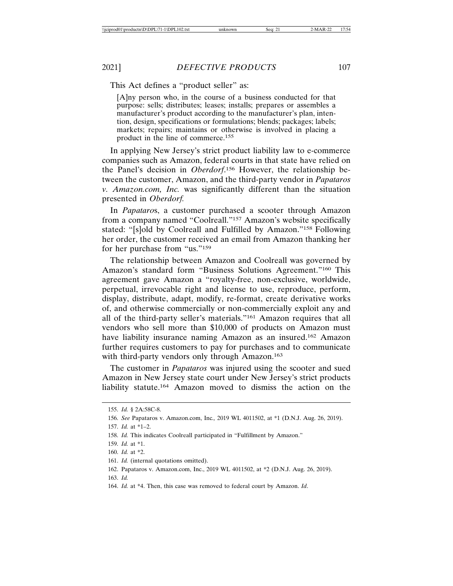This Act defines a "product seller" as:

[A]ny person who, in the course of a business conducted for that purpose: sells; distributes; leases; installs; prepares or assembles a manufacturer's product according to the manufacturer's plan, intention, design, specifications or formulations; blends; packages; labels; markets; repairs; maintains or otherwise is involved in placing a product in the line of commerce.155

In applying New Jersey's strict product liability law to e-commerce companies such as Amazon, federal courts in that state have relied on the Panel's decision in *Oberdorf*. 156 However, the relationship between the customer, Amazon, and the third-party vendor in *Papataros v. Amazon.com, Inc.* was significantly different than the situation presented in *Oberdorf.*

In *Papataro*s, a customer purchased a scooter through Amazon from a company named "Coolreall."157 Amazon's website specifically stated: "[s]old by Coolreall and Fulfilled by Amazon."158 Following her order, the customer received an email from Amazon thanking her for her purchase from "us."159

The relationship between Amazon and Coolreall was governed by Amazon's standard form "Business Solutions Agreement."160 This agreement gave Amazon a "royalty-free, non-exclusive, worldwide, perpetual, irrevocable right and license to use, reproduce, perform, display, distribute, adapt, modify, re-format, create derivative works of, and otherwise commercially or non-commercially exploit any and all of the third-party seller's materials."161 Amazon requires that all vendors who sell more than \$10,000 of products on Amazon must have liability insurance naming Amazon as an insured.<sup>162</sup> Amazon further requires customers to pay for purchases and to communicate with third-party vendors only through Amazon.<sup>163</sup>

The customer in *Papataros* was injured using the scooter and sued Amazon in New Jersey state court under New Jersey's strict products liability statute.164 Amazon moved to dismiss the action on the

<sup>155.</sup> *Id.* § 2A:58C-8.

<sup>156.</sup> *See* Papataros v. Amazon.com, Inc*.,* 2019 WL 4011502, at \*1 (D.N.J. Aug. 26, 2019).

<sup>157.</sup> *Id.* at \*1–2.

<sup>158.</sup> *Id.* This indicates Coolreall participated in "Fulfillment by Amazon."

<sup>159.</sup> *Id.* at \*1.

<sup>160.</sup> *Id.* at \*2.

<sup>161.</sup> *Id.* (internal quotations omitted).

<sup>162.</sup> Papataros v. Amazon.com, Inc., 2019 WL 4011502, at \*2 (D.N.J. Aug. 26, 2019).

<sup>163.</sup> *Id.*

<sup>164.</sup> *Id.* at \*4. Then, this case was removed to federal court by Amazon. *Id*.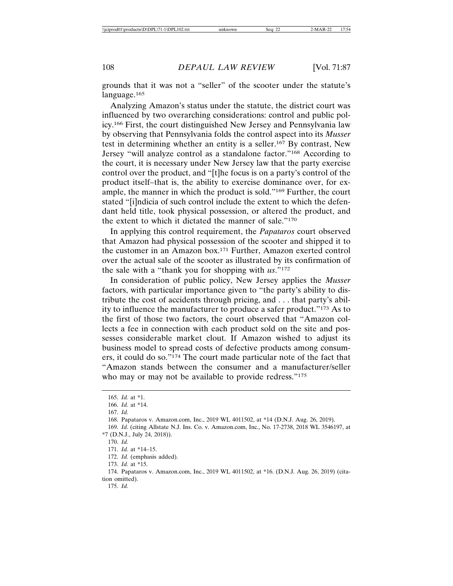grounds that it was not a "seller" of the scooter under the statute's language.165

Analyzing Amazon's status under the statute, the district court was influenced by two overarching considerations: control and public policy.166 First, the court distinguished New Jersey and Pennsylvania law by observing that Pennsylvania folds the control aspect into its *Musser* test in determining whether an entity is a seller.167 By contrast, New Jersey "will analyze control as a standalone factor."168 According to the court, it is necessary under New Jersey law that the party exercise control over the product, and "[t]he focus is on a party's control of the product itself–that is, the ability to exercise dominance over, for example, the manner in which the product is sold."169 Further, the court stated "[i]ndicia of such control include the extent to which the defendant held title, took physical possession, or altered the product, and the extent to which it dictated the manner of sale."170

In applying this control requirement, the *Papataros* court observed that Amazon had physical possession of the scooter and shipped it to the customer in an Amazon box.171 Further, Amazon exerted control over the actual sale of the scooter as illustrated by its confirmation of the sale with a "thank you for shopping with *us*."172

In consideration of public policy, New Jersey applies the *Musser* factors, with particular importance given to "the party's ability to distribute the cost of accidents through pricing, and . . . that party's ability to influence the manufacturer to produce a safer product."173 As to the first of those two factors, the court observed that "Amazon collects a fee in connection with each product sold on the site and possesses considerable market clout. If Amazon wished to adjust its business model to spread costs of defective products among consumers, it could do so."174 The court made particular note of the fact that "Amazon stands between the consumer and a manufacturer/seller who may or may not be available to provide redress."<sup>175</sup>

169. *Id*. (citing Allstate N.J. Ins. Co. v. Amazon.com, Inc., No. 17-2738, 2018 WL 3546197, at \*7 (D.N.J., July 24, 2018)).

<sup>165.</sup> *Id.* at \*1.

<sup>166.</sup> *Id.* at \*14.

<sup>167.</sup> *Id.*

<sup>168.</sup> Papataros v. Amazon.com, Inc., 2019 WL 4011502, at \*14 (D.N.J. Aug. 26, 2019).

<sup>170.</sup> *Id.*

<sup>171.</sup> *Id.* at \*14–15.

<sup>172.</sup> *Id.* (emphasis added).

<sup>173.</sup> *Id.* at \*15.

<sup>174.</sup> Papataros v. Amazon.com, Inc., 2019 WL 4011502, at \*16. (D.N.J. Aug. 26, 2019) (citation omitted).

<sup>175.</sup> *Id.*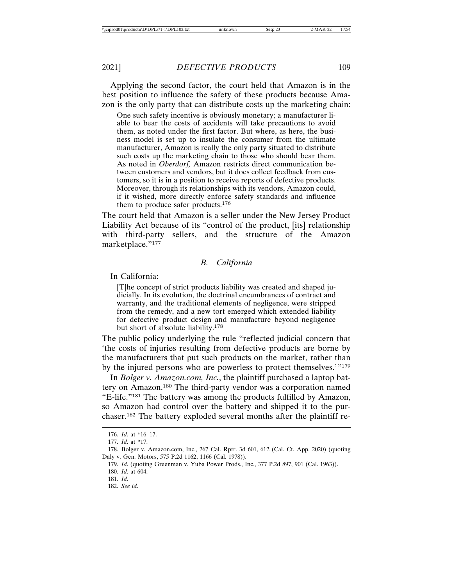Applying the second factor, the court held that Amazon is in the best position to influence the safety of these products because Amazon is the only party that can distribute costs up the marketing chain:

One such safety incentive is obviously monetary; a manufacturer liable to bear the costs of accidents will take precautions to avoid them, as noted under the first factor. But where, as here, the business model is set up to insulate the consumer from the ultimate manufacturer, Amazon is really the only party situated to distribute such costs up the marketing chain to those who should bear them. As noted in *Oberdorf,* Amazon restricts direct communication between customers and vendors, but it does collect feedback from customers, so it is in a position to receive reports of defective products. Moreover, through its relationships with its vendors, Amazon could, if it wished, more directly enforce safety standards and influence them to produce safer products.176

The court held that Amazon is a seller under the New Jersey Product Liability Act because of its "control of the product, [its] relationship with third-party sellers, and the structure of the Amazon marketplace."177

## *B. California*

In California:

[T]he concept of strict products liability was created and shaped judicially. In its evolution, the doctrinal encumbrances of contract and warranty, and the traditional elements of negligence, were stripped from the remedy, and a new tort emerged which extended liability for defective product design and manufacture beyond negligence but short of absolute liability.178

The public policy underlying the rule "reflected judicial concern that 'the costs of injuries resulting from defective products are borne by the manufacturers that put such products on the market, rather than by the injured persons who are powerless to protect themselves.'"179

In *Bolger v. Amazon.com, Inc.*, the plaintiff purchased a laptop battery on Amazon.180 The third-party vendor was a corporation named "E-life."181 The battery was among the products fulfilled by Amazon, so Amazon had control over the battery and shipped it to the purchaser.182 The battery exploded several months after the plaintiff re-

<sup>176.</sup> *Id*. at \*16–17.

<sup>177.</sup> *Id*. at \*17.

<sup>178.</sup> Bolger v. Amazon.com, Inc., 267 Cal. Rptr. 3d 601, 612 (Cal. Ct. App. 2020) (quoting Daly v. Gen. Motors, 575 P.2d 1162, 1166 (Cal. 1978)).

<sup>179.</sup> *Id*. (quoting Greenman v. Yuba Power Prods., Inc., 377 P.2d 897, 901 (Cal. 1963)).

<sup>180.</sup> *Id*. at 604.

<sup>181.</sup> *Id*.

<sup>182.</sup> *See id*.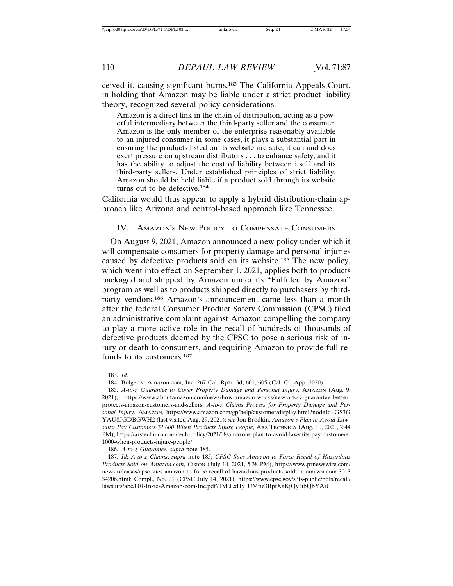ceived it, causing significant burns.183 The California Appeals Court, in holding that Amazon may be liable under a strict product liability theory, recognized several policy considerations:

Amazon is a direct link in the chain of distribution, acting as a powerful intermediary between the third-party seller and the consumer. Amazon is the only member of the enterprise reasonably available to an injured consumer in some cases, it plays a substantial part in ensuring the products listed on its website are safe, it can and does exert pressure on upstream distributors . . . to enhance safety, and it has the ability to adjust the cost of liability between itself and its third-party sellers. Under established principles of strict liability, Amazon should be held liable if a product sold through its website turns out to be defective.184

California would thus appear to apply a hybrid distribution-chain approach like Arizona and control-based approach like Tennessee.

### IV. AMAZON'S NEW POLICY TO COMPENSATE CONSUMERS

On August 9, 2021, Amazon announced a new policy under which it will compensate consumers for property damage and personal injuries caused by defective products sold on its website.185 The new policy, which went into effect on September 1, 2021, applies both to products packaged and shipped by Amazon under its "Fulfilled by Amazon" program as well as to products shipped directly to purchasers by thirdparty vendors.186 Amazon's announcement came less than a month after the federal Consumer Product Safety Commission (CPSC) filed an administrative complaint against Amazon compelling the company to play a more active role in the recall of hundreds of thousands of defective products deemed by the CPSC to pose a serious risk of injury or death to consumers, and requiring Amazon to provide full refunds to its customers.187

<sup>183.</sup> *Id.*

<sup>184.</sup> Bolger v. Amazon.com, Inc. 267 Cal. Rptr. 3d, 601, 605 (Cal. Ct. App. 2020).

<sup>185.</sup> *A-to-z Guarantee to Cover Property Damage and Personal Injury*, AMAZON (Aug. 9, 2021), https://www.aboutamazon.com/news/how-amazon-works/new-a-to-z-guarantee-betterprotects-amazon-customers-and-sellers; *A-to-z Claims Process for Property Damage and Personal Injury*, AMAZON, https://www.amazon.com/gp/help/customer/display.html?nodeId=GS3G YAU8JGDBGWH2 (last visited Aug. 29, 2021); *see* Jon Brodkin, *Amazon's Plan to Avoid Lawsuits: Pay Customers \$1,000 When Products Injure People*, ARS TECHNICA (Aug. 10, 2021, 2:44 PM), https://arstechnica.com/tech-policy/2021/08/amazons-plan-to-avoid-lawsuits-pay-customers-1000-when-products-injure-people/.

<sup>186.</sup> *A-to-z Guarantee, supra* note 185.

<sup>187.</sup> *Id*; *A-to-z Claims*, *supra* note 185; *CPSC Sues Amazon to Force Recall of Hazardous Products Sold on Amazon.com*, CISION (July 14, 2021, 5:38 PM), https://www.prnewswire.com/ news-releases/cpsc-sues-amazon-to-force-recall-of-hazardous-products-sold-on-amazoncom-3013 34206.html; Compl., No. 21 (CPSC July 14, 2021), https://www.cpsc.gov/s3fs-public/pdfs/recall/ lawsuits/abc/001-In-re-Amazon-com-Inc.pdf?TvLLxHy1UMfiz3BpfXaKjQy1ibQbYAiU.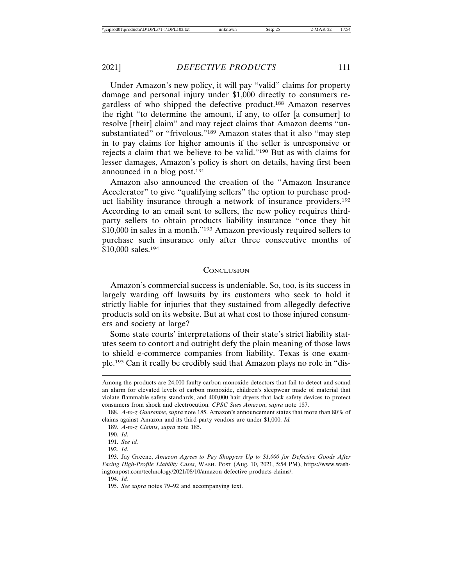Under Amazon's new policy, it will pay "valid" claims for property damage and personal injury under \$1,000 directly to consumers regardless of who shipped the defective product.188 Amazon reserves the right "to determine the amount, if any, to offer [a consumer] to resolve [their] claim" and may reject claims that Amazon deems "unsubstantiated" or "frivolous."<sup>189</sup> Amazon states that it also "may step in to pay claims for higher amounts if the seller is unresponsive or rejects a claim that we believe to be valid."190 But as with claims for lesser damages, Amazon's policy is short on details, having first been announced in a blog post.191

Amazon also announced the creation of the "Amazon Insurance Accelerator" to give "qualifying sellers" the option to purchase product liability insurance through a network of insurance providers.192 According to an email sent to sellers, the new policy requires thirdparty sellers to obtain products liability insurance "once they hit \$10,000 in sales in a month."193 Amazon previously required sellers to purchase such insurance only after three consecutive months of \$10,000 sales.<sup>194</sup>

### **CONCLUSION**

Amazon's commercial success is undeniable. So, too, is its success in largely warding off lawsuits by its customers who seek to hold it strictly liable for injuries that they sustained from allegedly defective products sold on its website. But at what cost to those injured consumers and society at large?

Some state courts' interpretations of their state's strict liability statutes seem to contort and outright defy the plain meaning of those laws to shield e-commerce companies from liability. Texas is one example.195 Can it really be credibly said that Amazon plays no role in "dis-

194. *Id.*

Among the products are 24,000 faulty carbon monoxide detectors that fail to detect and sound an alarm for elevated levels of carbon monoxide, children's sleepwear made of material that violate flammable safety standards, and 400,000 hair dryers that lack safety devices to protect consumers from shock and electrocution. *CPSC Sues Amazon*, *supra* note 187.

<sup>188.</sup> *A-to-z Guarantee*, *supra* note 185. Amazon's announcement states that more than 80% of claims against Amazon and its third-party vendors are under \$1,000. *Id.*

<sup>189.</sup> *A-to-z Claims*, *supra* note 185.

<sup>190.</sup> *Id*.

<sup>191.</sup> *See id.*

<sup>192.</sup> *Id*.

<sup>193.</sup> Jay Greene, *Amazon Agrees to Pay Shoppers Up to \$1,000 for Defective Goods After Facing High-Profile Liability Cases*, WASH. POST (Aug. 10, 2021, 5:54 PM), https://www.washingtonpost.com/technology/2021/08/10/amazon-defective-products-claims/.

<sup>195.</sup> *See supra* notes 79–92 and accompanying text.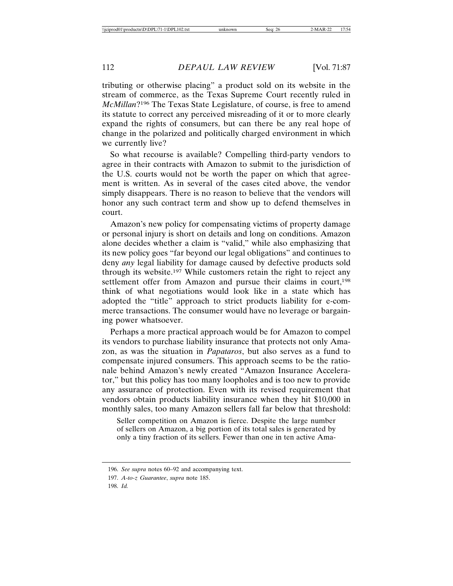tributing or otherwise placing" a product sold on its website in the stream of commerce, as the Texas Supreme Court recently ruled in *McMillan*?196 The Texas State Legislature, of course, is free to amend its statute to correct any perceived misreading of it or to more clearly expand the rights of consumers, but can there be any real hope of change in the polarized and politically charged environment in which we currently live?

So what recourse is available? Compelling third-party vendors to agree in their contracts with Amazon to submit to the jurisdiction of the U.S. courts would not be worth the paper on which that agreement is written. As in several of the cases cited above, the vendor simply disappears. There is no reason to believe that the vendors will honor any such contract term and show up to defend themselves in court.

Amazon's new policy for compensating victims of property damage or personal injury is short on details and long on conditions. Amazon alone decides whether a claim is "valid," while also emphasizing that its new policy goes "far beyond our legal obligations" and continues to deny *any* legal liability for damage caused by defective products sold through its website.197 While customers retain the right to reject any settlement offer from Amazon and pursue their claims in court,<sup>198</sup> think of what negotiations would look like in a state which has adopted the "title" approach to strict products liability for e-commerce transactions. The consumer would have no leverage or bargaining power whatsoever.

Perhaps a more practical approach would be for Amazon to compel its vendors to purchase liability insurance that protects not only Amazon, as was the situation in *Papataros*, but also serves as a fund to compensate injured consumers. This approach seems to be the rationale behind Amazon's newly created "Amazon Insurance Accelerator," but this policy has too many loopholes and is too new to provide any assurance of protection. Even with its revised requirement that vendors obtain products liability insurance when they hit \$10,000 in monthly sales, too many Amazon sellers fall far below that threshold:

Seller competition on Amazon is fierce. Despite the large number of sellers on Amazon, a big portion of its total sales is generated by only a tiny fraction of its sellers. Fewer than one in ten active Ama-

<sup>196.</sup> *See supra* notes 60–92 and accompanying text.

<sup>197.</sup> *A-to-z Guarantee*, *supra* note 185.

<sup>198.</sup> *Id.*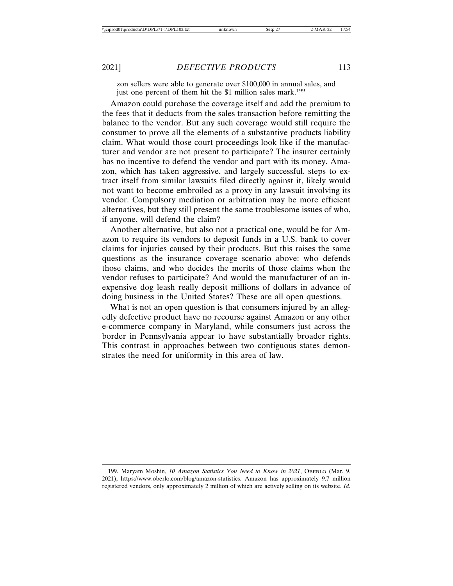zon sellers were able to generate over \$100,000 in annual sales, and just one percent of them hit the \$1 million sales mark.<sup>199</sup>

Amazon could purchase the coverage itself and add the premium to the fees that it deducts from the sales transaction before remitting the balance to the vendor. But any such coverage would still require the consumer to prove all the elements of a substantive products liability claim. What would those court proceedings look like if the manufacturer and vendor are not present to participate? The insurer certainly has no incentive to defend the vendor and part with its money. Amazon, which has taken aggressive, and largely successful, steps to extract itself from similar lawsuits filed directly against it, likely would not want to become embroiled as a proxy in any lawsuit involving its vendor. Compulsory mediation or arbitration may be more efficient alternatives, but they still present the same troublesome issues of who, if anyone, will defend the claim?

Another alternative, but also not a practical one, would be for Amazon to require its vendors to deposit funds in a U.S. bank to cover claims for injuries caused by their products. But this raises the same questions as the insurance coverage scenario above: who defends those claims, and who decides the merits of those claims when the vendor refuses to participate? And would the manufacturer of an inexpensive dog leash really deposit millions of dollars in advance of doing business in the United States? These are all open questions.

What is not an open question is that consumers injured by an allegedly defective product have no recourse against Amazon or any other e-commerce company in Maryland, while consumers just across the border in Pennsylvania appear to have substantially broader rights. This contrast in approaches between two contiguous states demonstrates the need for uniformity in this area of law.

<sup>199.</sup> Maryam Moshin, *10 Amazon Statistics You Need to Know in 2021*, OBERLO (Mar. 9, 2021), https://www.oberlo.com/blog/amazon-statistics. Amazon has approximately 9.7 million registered vendors, only approximately 2 million of which are actively selling on its website. *Id.*